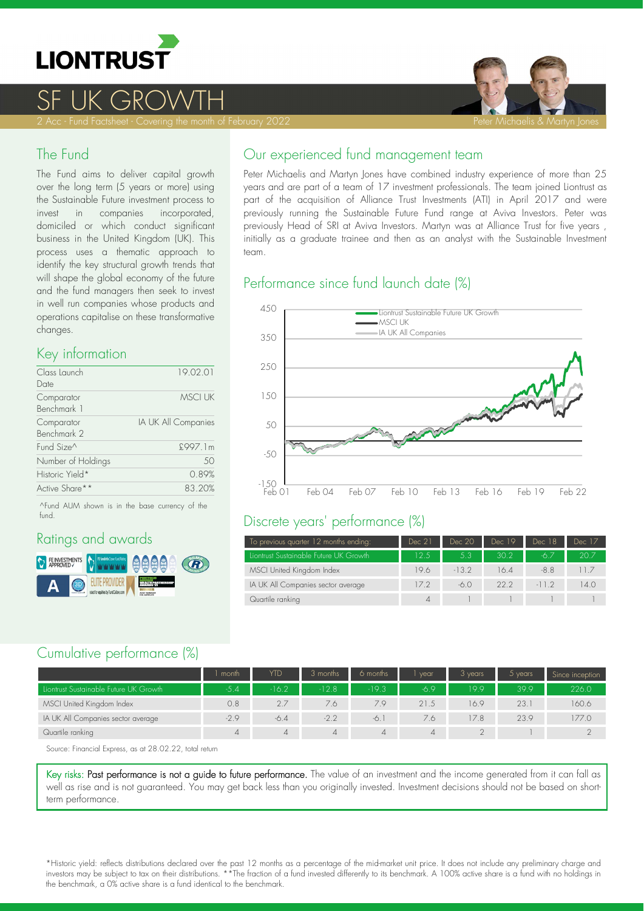

# <u>SF UK GROWTH</u>



### The Fund

The Fund aims to deliver capital growth over the long term (5 years or more) using the Sustainable Future investment process to invest in companies incorporated, domiciled or which conduct significant business in the United Kingdom (UK). This process uses a thematic approach to identify the key structural growth trends that will shape the global economy of the future and the fund managers then seek to invest in well run companies whose products and operations capitalise on these transformative changes.

### Key information

| Class Launch              | 19.02.01            |
|---------------------------|---------------------|
| Date                      |                     |
| Comparator<br>Benchmark 1 | <b>MSCI UK</b>      |
| Comparator<br>Benchmark 2 | IA UK All Companies |
| Fund Size <sup>^</sup>    | £997.1m             |
| Number of Holdings        | 50                  |
| Historic Yield*           | 0.89%               |
| Active Share**            | 83.20%              |

^Fund AUM shown is in the base currency of the fund.

## Ratings and awards



### Our experienced fund management team

Peter Michaelis and Martyn Jones have combined industry experience of more than 25 years and are part of a team of 17 investment professionals. The team joined Liontrust as part of the acquisition of Alliance Trust Investments (ATI) in April 2017 and were previously running the Sustainable Future Fund range at Aviva Investors. Peter was previously Head of SRI at Aviva Investors. Martyn was at Alliance Trust for five years , initially as a graduate trainee and then as an analyst with the Sustainable Investment team.

## Performance since fund launch date (%)



#### Discrete years' performance (%)

| To previous quarter 12 months ending:  | Dec 21 | Dec 20  | Dec 19 | Dec 18  | Dec 17          |
|----------------------------------------|--------|---------|--------|---------|-----------------|
| Liontrust Sustainable Future UK Growth | 12.5   | 53      | 30.2   | -67     | 20.7            |
| MSCI United Kingdom Index              | 19.6   | $-13.2$ | 16.4   | $-8.8$  | $\vert \vert$ / |
| IA UK All Companies sector average     | 17.2   | -6.0    | 22.2   | $-11.2$ | 14.0            |
| Quartile ranking                       |        |         |        |         |                 |

### Cumulative performance (%)

|                                        | month          | YTD     | 3 months       | 6 months | vear   | 3 years | $5$ years | Since inception |
|----------------------------------------|----------------|---------|----------------|----------|--------|---------|-----------|-----------------|
| Liontrust Sustainable Future UK Growth | $-5.4$         | $-16.2$ | $-12.8$        | $-19.3$  | $-6.9$ | 199     | 39.9      | 226.0           |
| MSCI United Kingdom Index              | 0.8            | 2.7     | 7.6            | 79       | 21.5   | 16.9    | 23.1      | 160.6           |
| IA UK All Companies sector average     | $-2.9$         | $-6.4$  | $-2.2$         | -6.      | 7.6    | 17.8    | 23.9      | 177.0           |
| Quartile ranking                       | $\overline{4}$ | 4       | $\overline{4}$ | 4        | 4      |         |           |                 |

Source: Financial Express, as at 28.02.22, total return

Key risks: Past performance is not a guide to future performance. The value of an investment and the income generated from it can fall as well as rise and is not guaranteed. You may get back less than you originally invested. Investment decisions should not be based on short term performance.

\*Historic yield: reflects distributions declared over the past 12 months as a percentage of the midmarket unit price. It does not include any preliminary charge and investors may be subject to tax on their distributions. \*\*The fraction of a fund invested differently to its benchmark. A 100% active share is a fund with no holdings in the benchmark, a 0% active share is a fund identical to the benchmark.